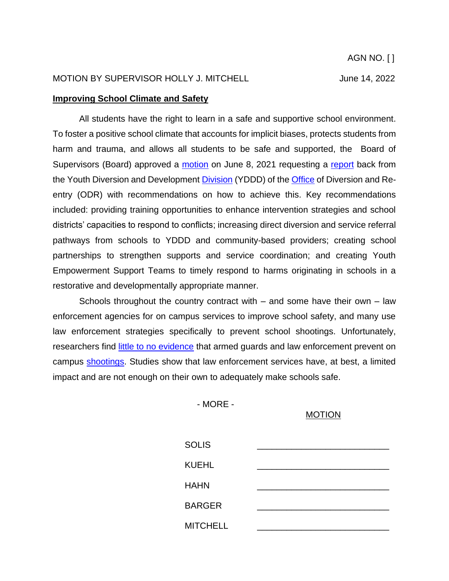#### **Improving School Climate and Safety**

All students have the right to learn in a safe and supportive school environment. To foster a positive school climate that accounts for implicit biases, protects students from harm and trauma, and allows all students to be safe and supported, the Board of Supervisors (Board) approved a [motion](http://file.lacounty.gov/SDSInter/bos/supdocs/158962.pdf) on June 8, 2021 requesting a [report](http://file.lacounty.gov/SDSInter/bos/supdocs/159043.pdf) back from the Youth Diversion and Development [Division](https://dhs.lacounty.gov/office-of-diversion-and-reentry/our-services/office-of-diversion-and-reentry/ydd/#:~:text=The%20Los%20Angeles%20County%20Youth,through%20a%20youth%20development%20framework) (YDDD) of the [Office](https://dhs.lacounty.gov/office-of-diversion-and-reentry/our-services/office-of-diversion-and-reentry/ydd/) of Diversion and Reentry (ODR) with recommendations on how to achieve this. Key recommendations included: providing training opportunities to enhance intervention strategies and school districts' capacities to respond to conflicts; increasing direct diversion and service referral pathways from schools to YDDD and community-based providers; creating school partnerships to strengthen supports and service coordination; and creating Youth Empowerment Support Teams to timely respond to harms originating in schools in a restorative and developmentally appropriate manner.

Schools throughout the country contract with – and some have their own – law enforcement agencies for on campus services to improve school safety, and many use law enforcement strategies specifically to prevent school shootings. Unfortunately, researchers find [little to no evidence](https://jamanetwork.com/journals/jamanetworkopen/fullarticle/2776515) that armed guards and law enforcement prevent on campus [shootings.](https://www.thetrace.org/2019/04/guns-armed-guards-school-shootings/) Studies show that law enforcement services have, at best, a limited impact and are not enough on their own to adequately make schools safe.

- MORE -

#### MOTION

| <b>SOLIS</b>    |  |
|-----------------|--|
| <b>KUEHL</b>    |  |
| <b>HAHN</b>     |  |
| <b>BARGER</b>   |  |
| <b>MITCHELL</b> |  |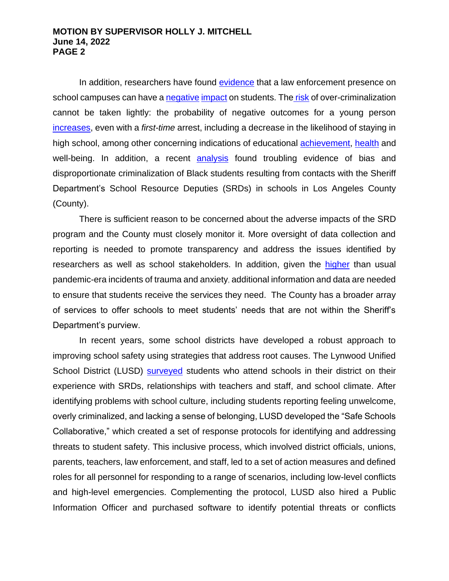In addition, researchers have found [evidence](https://www.wested.org/wp-content/uploads/2018/04/JPRC-Police-Schools-Brief.pdf) that a law enforcement presence on school campuses can have a [negative](https://journals.sagepub.com/doi/10.1177/0044118X10366674) [impact](https://digitalcommons.library.tmc.edu/childrenatrisk/vol5/iss2/11/) on students. The [risk](https://journals.sagepub.com/doi/10.1177/1362480607085795) of over-criminalization cannot be taken lightly: the probability of negative outcomes for a young person [increases,](https://www.asanet.org/sites/default/files/savvy/journals/soe/Jan13SOEFeature.pdf) even with a *first-time* arrest, including a decrease in the likelihood of staying in high school, among other concerning indications of educational [achievement,](https://journals.sagepub.com/doi/full/10.1177/0003122419826020) [health](https://www.ncbi.nlm.nih.gov/pmc/articles/PMC4232139/) and well-being. In addition, a recent [analysis](https://laist.com/news/criminal-justice/antelope-valley-schools-sheriffs-deputies-discipline-black-teens-bear-the-brunt) found troubling evidence of bias and disproportionate criminalization of Black students resulting from contacts with the Sheriff Department's School Resource Deputies (SRDs) in schools in Los Angeles County (County).

There is sufficient reason to be concerned about the adverse impacts of the SRD program and the County must closely monitor it. More oversight of data collection and reporting is needed to promote transparency and address the issues identified by researchers as well as school stakeholders. In addition, given the [higher](https://www.psychiatrictimes.com/view/post-covid-stress-disorder-emerging-consequence-global-pandemic) than usual pandemic-era incidents of trauma and anxiety, additional information and data are needed to ensure that students receive the services they need. The County has a broader array of services to offer schools to meet students' needs that are not within the Sheriff's Department's purview.

In recent years, some school districts have developed a robust approach to improving school safety using strategies that address root causes. The Lynwood Unified School District (LUSD) [surveyed](http://file.lacounty.gov/SDSInter/bos/supdocs/159043.pdf) students who attend schools in their district on their experience with SRDs, relationships with teachers and staff, and school climate. After identifying problems with school culture, including students reporting feeling unwelcome, overly criminalized, and lacking a sense of belonging, LUSD developed the "Safe Schools Collaborative," which created a set of response protocols for identifying and addressing threats to student safety. This inclusive process, which involved district officials, unions, parents, teachers, law enforcement, and staff, led to a set of action measures and defined roles for all personnel for responding to a range of scenarios, including low-level conflicts and high-level emergencies. Complementing the protocol, LUSD also hired a Public Information Officer and purchased software to identify potential threats or conflicts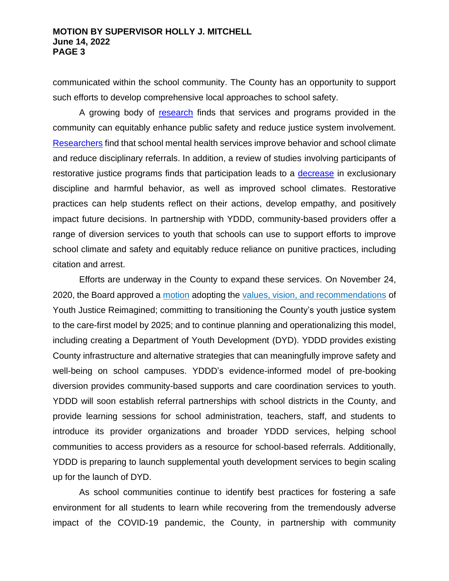communicated within the school community. The County has an opportunity to support such efforts to develop comprehensive local approaches to school safety.

A growing body of [research](https://justicepolicy.org/wp-content/uploads/2022/02/Smart_Safe_and_Fair_9_5_18.pdf) finds that services and programs provided in the community can equitably enhance public safety and reduce justice system involvement. [Researche](file:///C:/Users/cahsan/Downloads/Rethinking_School_Safety_Key_Message.pdf)rs find that school mental health services improve behavior and school climate and reduce disciplinary referrals. In addition, a review of studies involving participants of restorative justice programs finds that participation leads to a [decrease](https://www.wested.org/wp-content/uploads/2019/04/resource-restorative-justice-in-u-s-schools-an-updated-research-review.pdf) in exclusionary discipline and harmful behavior, as well as improved school climates. Restorative practices can help students reflect on their actions, develop empathy, and positively impact future decisions. In partnership with YDDD, community-based providers offer a range of diversion services to youth that schools can use to support efforts to improve school climate and safety and equitably reduce reliance on punitive practices, including citation and arrest.

Efforts are underway in the County to expand these services. On November 24, 2020, the Board approved a [motion](http://file.lacounty.gov/SDSInter/bos/supdocs/150833.pdf#search=%22%22youth%20justice%20reimagined%22%22) adopting the values, vision, and [recommendations](https://lacyouthjustice.org/report/) of Youth Justice Reimagined; committing to transitioning the County's youth justice system to the care-first model by 2025; and to continue planning and operationalizing this model, including creating a Department of Youth Development (DYD). YDDD provides existing County infrastructure and alternative strategies that can meaningfully improve safety and well-being on school campuses. YDDD's evidence-informed model of pre-booking diversion provides community-based supports and care coordination services to youth. YDDD will soon establish referral partnerships with school districts in the County, and provide learning sessions for school administration, teachers, staff, and students to introduce its provider organizations and broader YDDD services, helping school communities to access providers as a resource for school-based referrals. Additionally, YDDD is preparing to launch supplemental youth development services to begin scaling up for the launch of DYD.

As school communities continue to identify best practices for fostering a safe environment for all students to learn while recovering from the tremendously adverse impact of the COVID-19 pandemic, the County, in partnership with community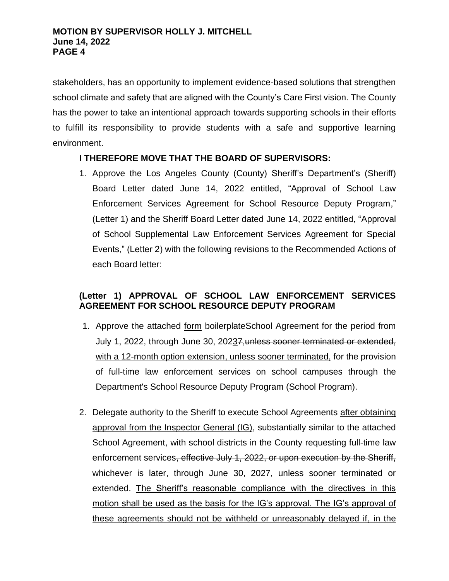stakeholders, has an opportunity to implement evidence-based solutions that strengthen school climate and safety that are aligned with the County's Care First vision. The County has the power to take an intentional approach towards supporting schools in their efforts to fulfill its responsibility to provide students with a safe and supportive learning environment.

## **I THEREFORE MOVE THAT THE BOARD OF SUPERVISORS:**

1. Approve the Los Angeles County (County) Sheriff's Department's (Sheriff) Board Letter dated June 14, 2022 entitled, "Approval of School Law Enforcement Services Agreement for School Resource Deputy Program," (Letter 1) and the Sheriff Board Letter dated June 14, 2022 entitled, "Approval of School Supplemental Law Enforcement Services Agreement for Special Events," (Letter 2) with the following revisions to the Recommended Actions of each Board letter:

# **(Letter 1) APPROVAL OF SCHOOL LAW ENFORCEMENT SERVICES AGREEMENT FOR SCHOOL RESOURCE DEPUTY PROGRAM**

- 1. Approve the attached form boilerplateSchool Agreement for the period from July 1, 2022, through June 30, 2023<sub>7</sub>, unless sooner terminated or extended, with a 12-month option extension, unless sooner terminated, for the provision of full-time law enforcement services on school campuses through the Department's School Resource Deputy Program (School Program).
- 2. Delegate authority to the Sheriff to execute School Agreements after obtaining approval from the Inspector General (IG), substantially similar to the attached School Agreement, with school districts in the County requesting full-time law enforcement services, effective July 1, 2022, or upon execution by the Sheriff, whichever is later, through June 30, 2027, unless sooner terminated or extended. The Sheriff's reasonable compliance with the directives in this motion shall be used as the basis for the IG's approval. The IG's approval of these agreements should not be withheld or unreasonably delayed if, in the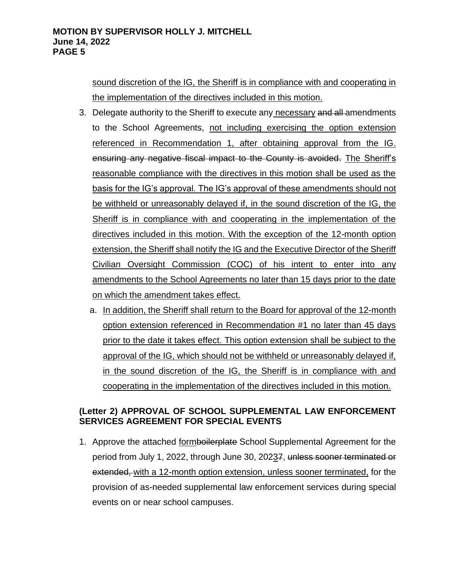sound discretion of the IG, the Sheriff is in compliance with and cooperating in the implementation of the directives included in this motion.

- 3. Delegate authority to the Sheriff to execute any necessary and all-amendments to the School Agreements, not including exercising the option extension referenced in Recommendation 1, after obtaining approval from the IG. ensuring any negative fiscal impact to the County is avoided. The Sheriff's reasonable compliance with the directives in this motion shall be used as the basis for the IG's approval. The IG's approval of these amendments should not be withheld or unreasonably delayed if, in the sound discretion of the IG, the Sheriff is in compliance with and cooperating in the implementation of the directives included in this motion. With the exception of the 12-month option extension, the Sheriff shall notify the IG and the Executive Director of the Sheriff Civilian Oversight Commission (COC) of his intent to enter into any amendments to the School Agreements no later than 15 days prior to the date on which the amendment takes effect.
	- a. In addition, the Sheriff shall return to the Board for approval of the 12-month option extension referenced in Recommendation #1 no later than 45 days prior to the date it takes effect. This option extension shall be subject to the approval of the IG, which should not be withheld or unreasonably delayed if, in the sound discretion of the IG, the Sheriff is in compliance with and cooperating in the implementation of the directives included in this motion.

# **(Letter 2) APPROVAL OF SCHOOL SUPPLEMENTAL LAW ENFORCEMENT SERVICES AGREEMENT FOR SPECIAL EVENTS**

1. Approve the attached formboilerplate School Supplemental Agreement for the period from July 1, 2022, through June 30, 20237, unless sooner terminated or extended, with a 12-month option extension, unless sooner terminated, for the provision of as-needed supplemental law enforcement services during special events on or near school campuses.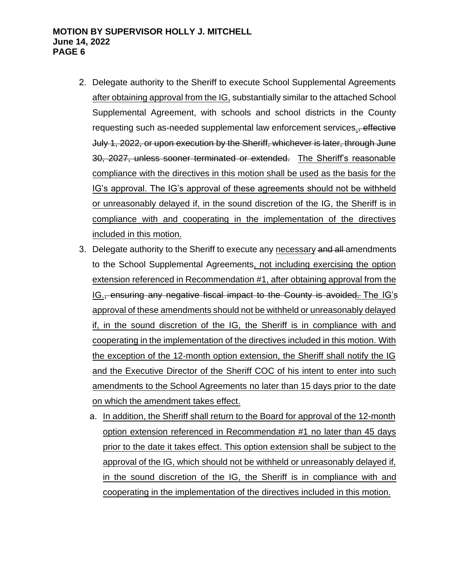- 2. Delegate authority to the Sheriff to execute School Supplemental Agreements after obtaining approval from the IG, substantially similar to the attached School Supplemental Agreement, with schools and school districts in the County requesting such as-needed supplemental law enforcement services. *effective* July 1, 2022, or upon execution by the Sheriff, whichever is later, through June 30, 2027, unless sooner terminated or extended. The Sheriff's reasonable compliance with the directives in this motion shall be used as the basis for the IG's approval. The IG's approval of these agreements should not be withheld or unreasonably delayed if, in the sound discretion of the IG, the Sheriff is in compliance with and cooperating in the implementation of the directives included in this motion.
- 3. Delegate authority to the Sheriff to execute any necessary and all amendments to the School Supplemental Agreements, not including exercising the option extension referenced in Recommendation #1, after obtaining approval from the IG., ensuring any negative fiscal impact to the County is avoided. The IG's approval of these amendments should not be withheld or unreasonably delayed if, in the sound discretion of the IG, the Sheriff is in compliance with and cooperating in the implementation of the directives included in this motion. With the exception of the 12-month option extension, the Sheriff shall notify the IG and the Executive Director of the Sheriff COC of his intent to enter into such amendments to the School Agreements no later than 15 days prior to the date on which the amendment takes effect.
	- a. In addition, the Sheriff shall return to the Board for approval of the 12-month option extension referenced in Recommendation #1 no later than 45 days prior to the date it takes effect. This option extension shall be subject to the approval of the IG, which should not be withheld or unreasonably delayed if, in the sound discretion of the IG, the Sheriff is in compliance with and cooperating in the implementation of the directives included in this motion.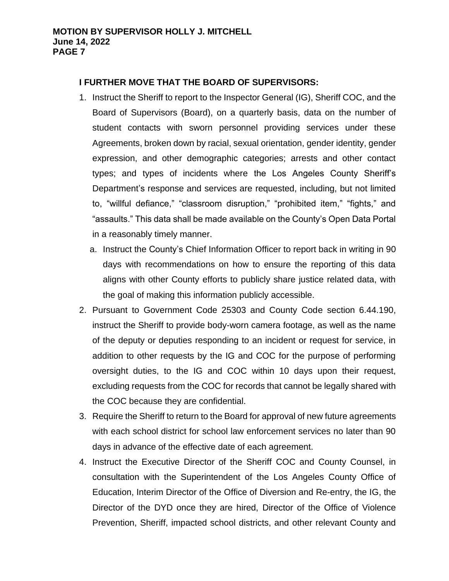## **I FURTHER MOVE THAT THE BOARD OF SUPERVISORS:**

- 1. Instruct the Sheriff to report to the Inspector General (IG), Sheriff COC, and the Board of Supervisors (Board), on a quarterly basis, data on the number of student contacts with sworn personnel providing services under these Agreements, broken down by racial, sexual orientation, gender identity, gender expression, and other demographic categories; arrests and other contact types; and types of incidents where the Los Angeles County Sheriff's Department's response and services are requested, including, but not limited to, "willful defiance," "classroom disruption," "prohibited item," "fights," and "assaults." This data shall be made available on the County's Open Data Portal in a reasonably timely manner.
	- a. Instruct the County's Chief Information Officer to report back in writing in 90 days with recommendations on how to ensure the reporting of this data aligns with other County efforts to publicly share justice related data, with the goal of making this information publicly accessible.
- 2. Pursuant to Government Code 25303 and County Code section 6.44.190, instruct the Sheriff to provide body-worn camera footage, as well as the name of the deputy or deputies responding to an incident or request for service, in addition to other requests by the IG and COC for the purpose of performing oversight duties, to the IG and COC within 10 days upon their request, excluding requests from the COC for records that cannot be legally shared with the COC because they are confidential.
- 3. Require the Sheriff to return to the Board for approval of new future agreements with each school district for school law enforcement services no later than 90 days in advance of the effective date of each agreement.
- 4. Instruct the Executive Director of the Sheriff COC and County Counsel, in consultation with the Superintendent of the Los Angeles County Office of Education, Interim Director of the Office of Diversion and Re-entry, the IG, the Director of the DYD once they are hired, Director of the Office of Violence Prevention, Sheriff, impacted school districts, and other relevant County and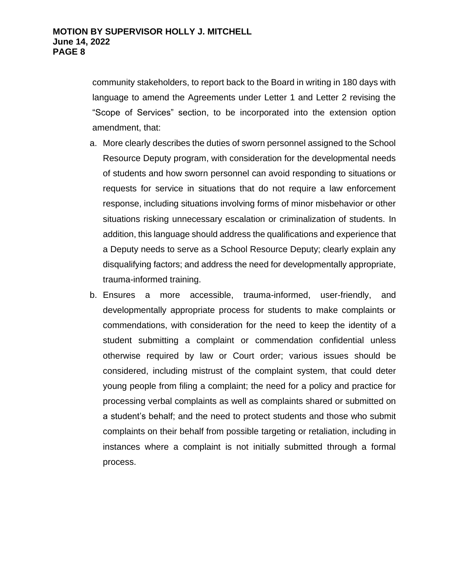community stakeholders, to report back to the Board in writing in 180 days with language to amend the Agreements under Letter 1 and Letter 2 revising the "Scope of Services" section, to be incorporated into the extension option amendment, that:

- a. More clearly describes the duties of sworn personnel assigned to the School Resource Deputy program, with consideration for the developmental needs of students and how sworn personnel can avoid responding to situations or requests for service in situations that do not require a law enforcement response, including situations involving forms of minor misbehavior or other situations risking unnecessary escalation or criminalization of students. In addition, this language should address the qualifications and experience that a Deputy needs to serve as a School Resource Deputy; clearly explain any disqualifying factors; and address the need for developmentally appropriate, trauma-informed training.
- b. Ensures a more accessible, trauma-informed, user-friendly, and developmentally appropriate process for students to make complaints or commendations, with consideration for the need to keep the identity of a student submitting a complaint or commendation confidential unless otherwise required by law or Court order; various issues should be considered, including mistrust of the complaint system, that could deter young people from filing a complaint; the need for a policy and practice for processing verbal complaints as well as complaints shared or submitted on a student's behalf; and the need to protect students and those who submit complaints on their behalf from possible targeting or retaliation, including in instances where a complaint is not initially submitted through a formal process.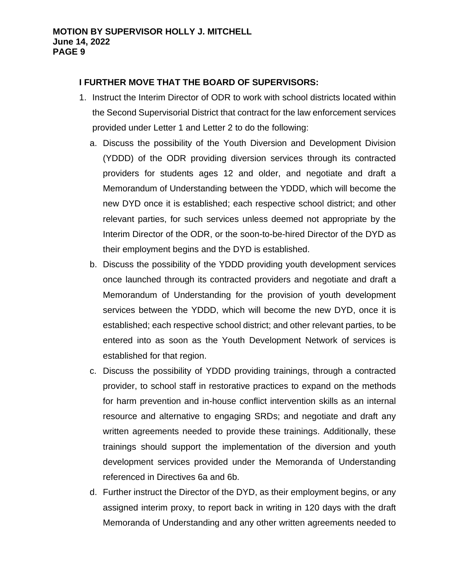## **I FURTHER MOVE THAT THE BOARD OF SUPERVISORS:**

- 1. Instruct the Interim Director of ODR to work with school districts located within the Second Supervisorial District that contract for the law enforcement services provided under Letter 1 and Letter 2 to do the following:
	- a. Discuss the possibility of the Youth Diversion and Development Division (YDDD) of the ODR providing diversion services through its contracted providers for students ages 12 and older, and negotiate and draft a Memorandum of Understanding between the YDDD, which will become the new DYD once it is established; each respective school district; and other relevant parties, for such services unless deemed not appropriate by the Interim Director of the ODR, or the soon-to-be-hired Director of the DYD as their employment begins and the DYD is established.
	- b. Discuss the possibility of the YDDD providing youth development services once launched through its contracted providers and negotiate and draft a Memorandum of Understanding for the provision of youth development services between the YDDD, which will become the new DYD, once it is established; each respective school district; and other relevant parties, to be entered into as soon as the Youth Development Network of services is established for that region.
	- c. Discuss the possibility of YDDD providing trainings, through a contracted provider, to school staff in restorative practices to expand on the methods for harm prevention and in-house conflict intervention skills as an internal resource and alternative to engaging SRDs; and negotiate and draft any written agreements needed to provide these trainings. Additionally, these trainings should support the implementation of the diversion and youth development services provided under the Memoranda of Understanding referenced in Directives 6a and 6b.
	- d. Further instruct the Director of the DYD, as their employment begins, or any assigned interim proxy, to report back in writing in 120 days with the draft Memoranda of Understanding and any other written agreements needed to